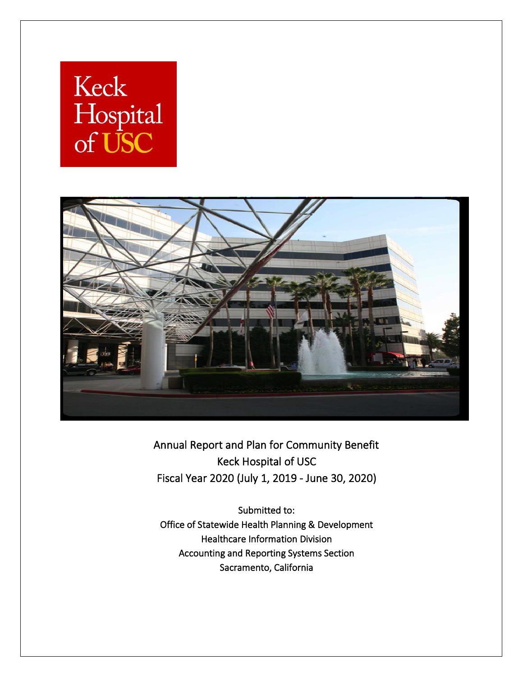# Keck Hospital<br>of USC



Annual Report and Plan for Community Benefit Keck Hospital of USC Fiscal Year 2020 (July 1, 2019 - June 30, 2020)

Submitted to: Office of Statewide Health Planning & Development Healthcare Information Division Accounting and Reporting Systems Section Sacramento, California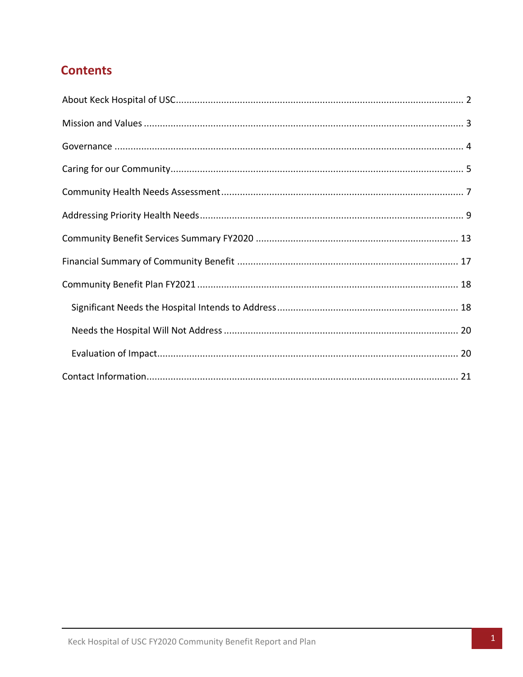# **Contents**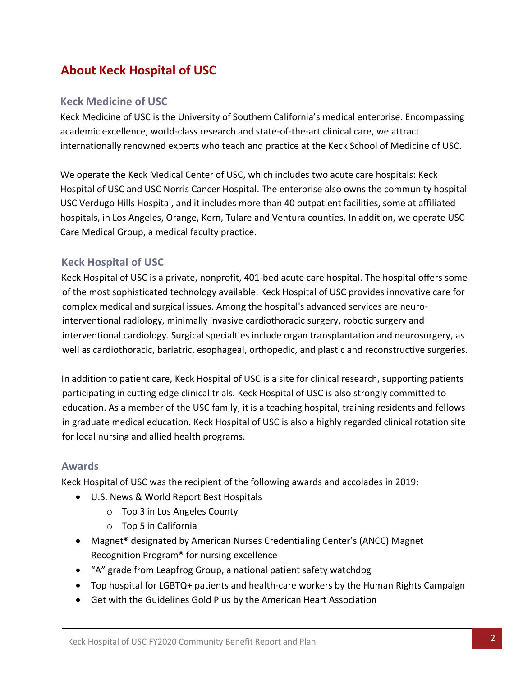# <span id="page-2-0"></span>**About Keck Hospital of USC**

#### **Keck Medicine of USC**

Keck Medicine of USC is the University of Southern California's medical enterprise. Encompassing academic excellence, world-class research and state-of-the-art clinical care, we attract internationally renowned experts who teach and practice at the Keck School of Medicine of USC.

We operate the Keck Medical Center of USC, which includes two acute care hospitals: Keck Hospital of USC and USC Norris Cancer Hospital. The enterprise also owns the community hospital USC Verdugo Hills Hospital, and it includes more than 40 outpatient facilities, some at affiliated hospitals, in Los Angeles, Orange, Kern, Tulare and Ventura counties. In addition, we operate USC Care Medical Group, a medical faculty practice.

## **Keck Hospital of USC**

Keck Hospital of USC is a private, nonprofit, 401-bed acute care hospital. The hospital offers some of the most sophisticated technology available. Keck Hospital of USC provides innovative care for complex medical and surgical issues. Among the hospital's advanced services are neurointerventional radiology, minimally invasive cardiothoracic surgery, robotic surgery and interventional cardiology. Surgical specialties include organ transplantation and neurosurgery, as well as [cardiothoracic,](http://www.uscuniversityhospital.org/uscuh/services/heart-and-lung-services/cardiothoracic-surgery) [bariatric,](http://www.uscuniversityhospital.org/uscuh/services/weight-loss-and-digestive-disorders/bariatrics) esophageal, orthopedic, and plastic and reconstructive surgeries.

In addition to patient care, Keck Hospital of USC is a site for clinical research, supporting patients participating in cutting edge clinical trials. Keck Hospital of USC is also strongly committed to education. As a member of the USC family, it is a teaching hospital, training residents and fellows in graduate medical education. Keck Hospital of USC is also a highly regarded clinical rotation site for local nursing and allied health programs.

#### **Awards**

Keck Hospital of USC was the recipient of the following awards and accolades in 2019:

- U.S. News & World Report Best Hospitals
	- o Top 3 in Los Angeles County
	- o Top 5 in California
- Magnet® designated by American Nurses Credentialing Center's (ANCC) Magnet Recognition Program® for nursing excellence
- "A" grade from Leapfrog Group, a national patient safety watchdog
- Top hospital for LGBTQ+ patients and health-care workers by the Human Rights Campaign
- Get with the Guidelines Gold Plus by the American Heart Association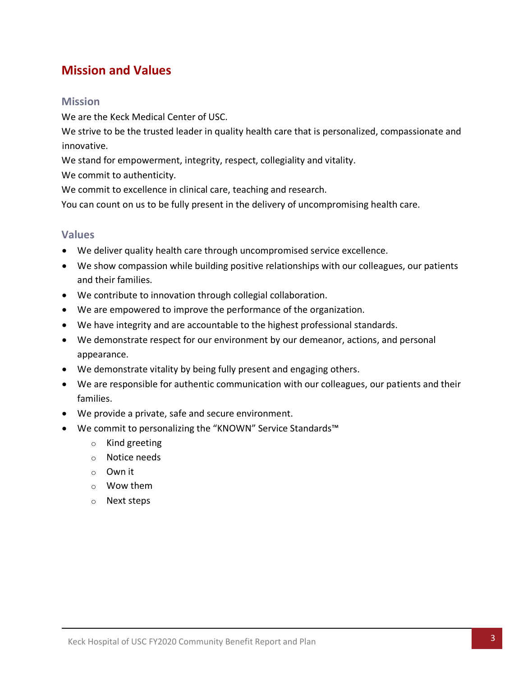# <span id="page-3-0"></span>**Mission and Values**

#### **Mission**

We are the Keck Medical Center of USC.

We strive to be the trusted leader in quality health care that is personalized, compassionate and innovative.

We stand for empowerment, integrity, respect, collegiality and vitality.

We commit to authenticity.

We commit to excellence in clinical care, teaching and research.

You can count on us to be fully present in the delivery of uncompromising health care.

#### **Values**

- We deliver quality health care through uncompromised service excellence.
- We show compassion while building positive relationships with our colleagues, our patients and their families.
- We contribute to innovation through collegial collaboration.
- We are empowered to improve the performance of the organization.
- We have integrity and are accountable to the highest professional standards.
- We demonstrate respect for our environment by our demeanor, actions, and personal appearance.
- We demonstrate vitality by being fully present and engaging others.
- We are responsible for authentic communication with our colleagues, our patients and their families.
- We provide a private, safe and secure environment.
- We commit to personalizing the "KNOWN" Service Standards™
	- o Kind greeting
	- o Notice needs
	- o Own it
	- o Wow them
	- o Next steps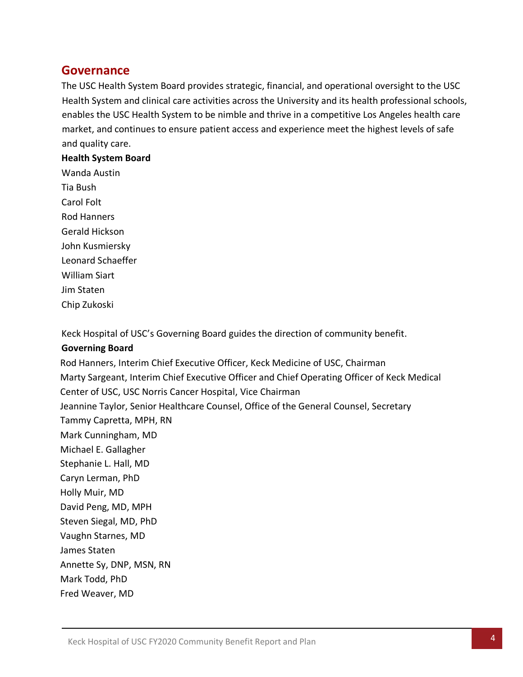## <span id="page-4-0"></span>**Governance**

The USC Health System Board provides strategic, financial, and operational oversight to the USC Health System and clinical care activities across the University and its health professional schools, enables the USC Health System to be nimble and thrive in a competitive Los Angeles health care market, and continues to ensure patient access and experience meet the highest levels of safe and quality care.

#### **Health System Board**

Wanda Austin Tia Bush Carol Folt Rod Hanners Gerald Hickson John Kusmiersky Leonard Schaeffer William Siart Jim Staten Chip Zukoski

Keck Hospital of USC's Governing Board guides the direction of community benefit.

#### **Governing Board**

Rod Hanners, Interim Chief Executive Officer, Keck Medicine of USC, Chairman Marty Sargeant, Interim Chief Executive Officer and Chief Operating Officer of Keck Medical Center of USC, USC Norris Cancer Hospital, Vice Chairman Jeannine Taylor, Senior Healthcare Counsel, Office of the General Counsel, Secretary Tammy Capretta, MPH, RN Mark Cunningham, MD Michael E. Gallagher Stephanie L. Hall, MD Caryn Lerman, PhD Holly Muir, MD David Peng, MD, MPH Steven Siegal, MD, PhD Vaughn Starnes, MD James Staten Annette Sy, DNP, MSN, RN Mark Todd, PhD Fred Weaver, MD

4 Keck Hospital of USC FY2020 Community Benefit Report and Plan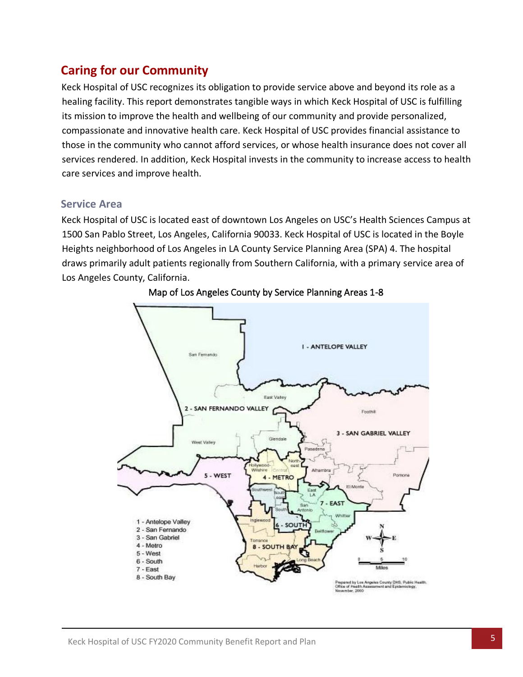# <span id="page-5-0"></span>**Caring for our Community**

Keck Hospital of USC recognizes its obligation to provide service above and beyond its role as a healing facility. This report demonstrates tangible ways in which Keck Hospital of USC is fulfilling its mission to improve the health and wellbeing of our community and provide personalized, compassionate and innovative health care. Keck Hospital of USC provides financial assistance to those in the community who cannot afford services, or whose health insurance does not cover all services rendered. In addition, Keck Hospital invests in the community to increase access to health care services and improve health.

#### **Service Area**

Keck Hospital of USC is located east of downtown Los Angeles on USC's Health Sciences Campus at 1500 San Pablo Street, Los Angeles, California 90033. Keck Hospital of USC is located in the Boyle Heights neighborhood of Los Angeles in LA County Service Planning Area (SPA) 4. The hospital draws primarily adult patients regionally from Southern California, with a primary service area of Los Angeles County, California.



Map of Los Angeles County by Service Planning Areas 1-8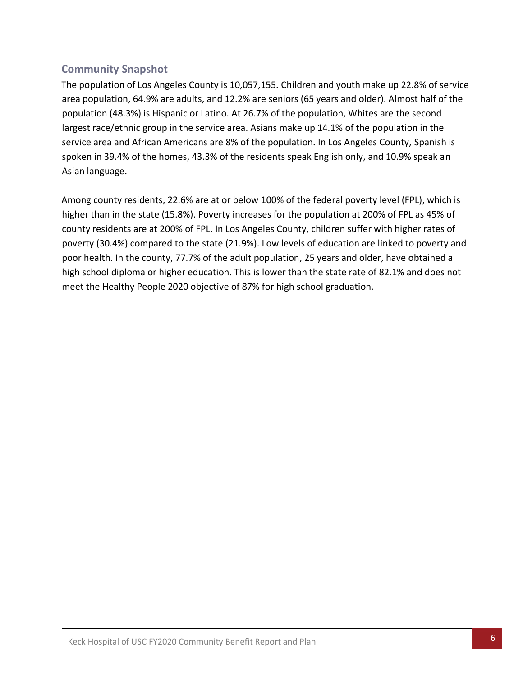## **Community Snapshot**

The population of Los Angeles County is 10,057,155. Children and youth make up 22.8% of service area population, 64.9% are adults, and 12.2% are seniors (65 years and older). Almost half of the population (48.3%) is Hispanic or Latino. At 26.7% of the population, Whites are the second largest race/ethnic group in the service area. Asians make up 14.1% of the population in the service area and African Americans are 8% of the population. In Los Angeles County, Spanish is spoken in 39.4% of the homes, 43.3% of the residents speak English only, and 10.9% speak an Asian language.

Among county residents, 22.6% are at or below 100% of the federal poverty level (FPL), which is higher than in the state (15.8%). Poverty increases for the population at 200% of FPL as 45% of county residents are at 200% of FPL. In Los Angeles County, children suffer with higher rates of poverty (30.4%) compared to the state (21.9%). Low levels of education are linked to poverty and poor health. In the county, 77.7% of the adult population, 25 years and older, have obtained a high school diploma or higher education. This is lower than the state rate of 82.1% and does not meet the Healthy People 2020 objective of 87% for high school graduation.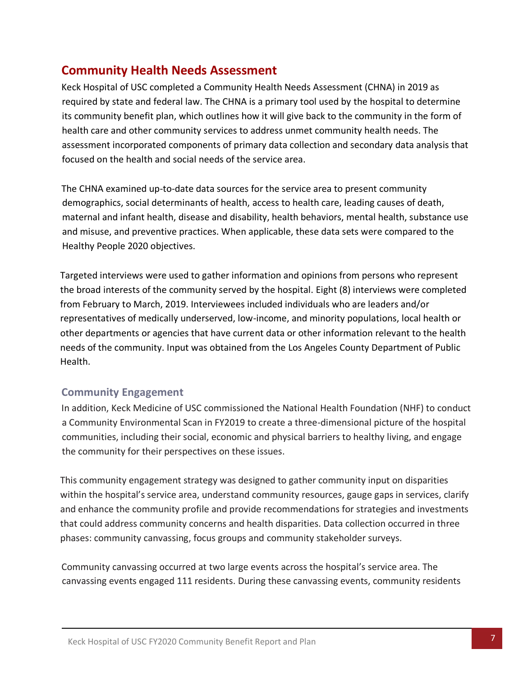# <span id="page-7-0"></span>**Community Health Needs Assessment**

Keck Hospital of USC completed a Community Health Needs Assessment (CHNA) in 2019 as required by state and federal law. The CHNA is a primary tool used by the hospital to determine its community benefit plan, which outlines how it will give back to the community in the form of health care and other community services to address unmet community health needs. The assessment incorporated components of primary data collection and secondary data analysis that focused on the health and social needs of the service area.

The CHNA examined up-to-date data sources for the service area to present community demographics, social determinants of health, access to health care, leading causes of death, maternal and infant health, disease and disability, health behaviors, mental health, substance use and misuse, and preventive practices. When applicable, these data sets were compared to the Healthy People 2020 objectives.

Targeted interviews were used to gather information and opinions from persons who represent the broad interests of the community served by the hospital. Eight (8) interviews were completed from February to March, 2019. Interviewees included individuals who are leaders and/or representatives of medically underserved, low-income, and minority populations, local health or other departments or agencies that have current data or other information relevant to the health needs of the community. Input was obtained from the Los Angeles County Department of Public Health.

#### **Community Engagement**

In addition, Keck Medicine of USC commissioned the National Health Foundation (NHF) to conduct a Community Environmental Scan in FY2019 to create a three-dimensional picture of the hospital communities, including their social, economic and physical barriers to healthy living, and engage the community for their perspectives on these issues.

This community engagement strategy was designed to gather community input on disparities within the hospital's service area, understand community resources, gauge gaps in services, clarify and enhance the community profile and provide recommendations for strategies and investments that could address community concerns and health disparities. Data collection occurred in three phases: community canvassing, focus groups and community stakeholder surveys.

Community canvassing occurred at two large events across the hospital's service area. The canvassing events engaged 111 residents. During these canvassing events, community residents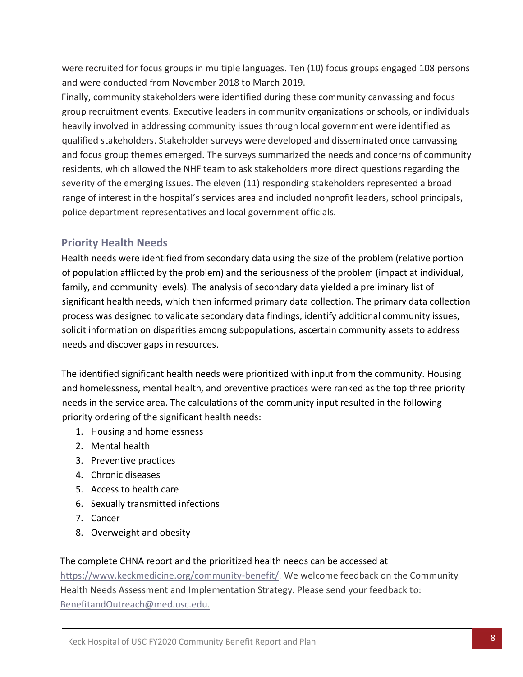were recruited for focus groups in multiple languages. Ten (10) focus groups engaged 108 persons and were conducted from November 2018 to March 2019.

Finally, community stakeholders were identified during these community canvassing and focus group recruitment events. Executive leaders in community organizations or schools, or individuals heavily involved in addressing community issues through local government were identified as qualified stakeholders. Stakeholder surveys were developed and disseminated once canvassing and focus group themes emerged. The surveys summarized the needs and concerns of community residents, which allowed the NHF team to ask stakeholders more direct questions regarding the severity of the emerging issues. The eleven (11) responding stakeholders represented a broad range of interest in the hospital's services area and included nonprofit leaders, school principals, police department representatives and local government officials.

## **Priority Health Needs**

Health needs were identified from secondary data using the size of the problem (relative portion of population afflicted by the problem) and the seriousness of the problem (impact at individual, family, and community levels). The analysis of secondary data yielded a preliminary list of significant health needs, which then informed primary data collection. The primary data collection process was designed to validate secondary data findings, identify additional community issues, solicit information on disparities among subpopulations, ascertain community assets to address needs and discover gaps in resources.

The identified significant health needs were prioritized with input from the community. Housing and homelessness, mental health, and preventive practices were ranked as the top three priority needs in the service area. The calculations of the community input resulted in the following priority ordering of the significant health needs:

- 1. Housing and homelessness
- 2. Mental health
- 3. Preventive practices
- 4. Chronic diseases
- 5. Access to health care
- 6. Sexually transmitted infections
- 7. Cancer
- 8. Overweight and obesity

#### The complete CHNA report and the prioritized health needs can be accessed at

[https://www.keckmedicine.org/community-benefit/.](https://www.keckmedicine.org/community-benefit/) We welcome feedback on the Community Health Needs Assessment and Implementation Strategy. Please send your feedback to: [BenefitandOutreach@med.usc.edu.](mailto:BenefitandOutreach@med.usc.edu.)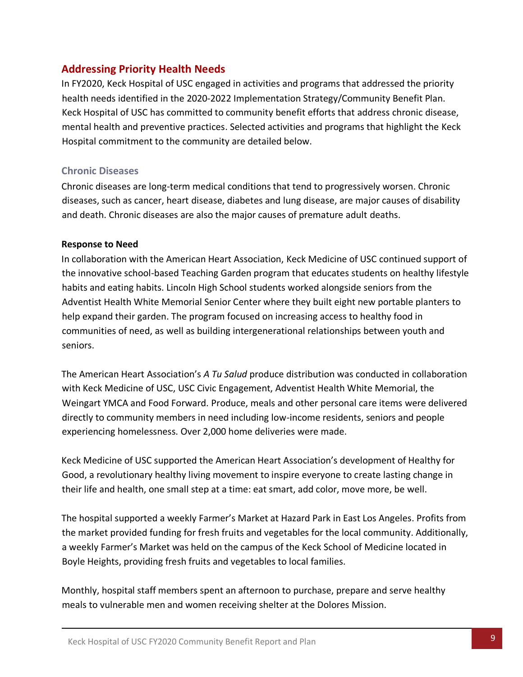## <span id="page-9-0"></span>**Addressing Priority Health Needs**

In FY2020, Keck Hospital of USC engaged in activities and programs that addressed the priority health needs identified in the 2020-2022 Implementation Strategy/Community Benefit Plan. Keck Hospital of USC has committed to community benefit efforts that address chronic disease, mental health and preventive practices. Selected activities and programs that highlight the Keck Hospital commitment to the community are detailed below.

#### **Chronic Diseases**

Chronic diseases are long-term medical conditions that tend to progressively worsen. Chronic diseases, such as cancer, heart disease, diabetes and lung disease, are major causes of disability and death. Chronic diseases are also the major causes of premature adult deaths.

#### **Response to Need**

In collaboration with the American Heart Association, Keck Medicine of USC continued support of the innovative school-based Teaching Garden program that educates students on healthy lifestyle habits and eating habits. Lincoln High School students worked alongside seniors from the Adventist Health White Memorial Senior Center where they built eight new portable planters to help expand their garden. The program focused on increasing access to healthy food in communities of need, as well as building intergenerational relationships between youth and seniors.

The American Heart Association's *A Tu Salud* produce distribution was conducted in collaboration with Keck Medicine of USC, USC Civic Engagement, Adventist Health White Memorial, the Weingart YMCA and Food Forward. Produce, meals and other personal care items were delivered directly to community members in need including low-income residents, seniors and people experiencing homelessness. Over 2,000 home deliveries were made.

Keck Medicine of USC supported the American Heart Association's development of Healthy for Good, a revolutionary healthy living movement to inspire everyone to create lasting change in their life and health, one small step at a time: eat smart, add color, move more, be well.

The hospital supported a weekly Farmer's Market at Hazard Park in East Los Angeles. Profits from the market provided funding for fresh fruits and vegetables for the local community. Additionally, a weekly Farmer's Market was held on the campus of the Keck School of Medicine located in Boyle Heights, providing fresh fruits and vegetables to local families.

Monthly, hospital staff members spent an afternoon to purchase, prepare and serve healthy meals to vulnerable men and women receiving shelter at the Dolores Mission.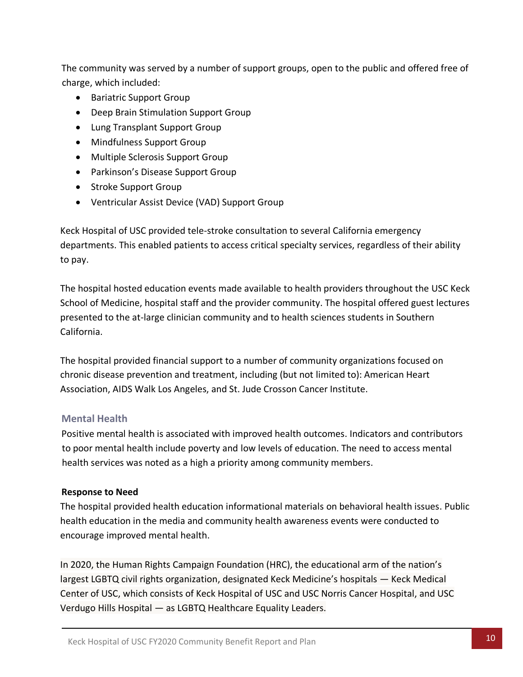The community was served by a number of support groups, open to the public and offered free of charge, which included:

- Bariatric Support Group
- Deep Brain Stimulation Support Group
- Lung Transplant Support Group
- Mindfulness Support Group
- Multiple Sclerosis Support Group
- Parkinson's Disease Support Group
- Stroke Support Group
- Ventricular Assist Device (VAD) Support Group

Keck Hospital of USC provided tele-stroke consultation to several California emergency departments. This enabled patients to access critical specialty services, regardless of their ability to pay.

The hospital hosted education events made available to health providers throughout the USC Keck School of Medicine, hospital staff and the provider community. The hospital offered guest lectures presented to the at-large clinician community and to health sciences students in Southern California.

The hospital provided financial support to a number of community organizations focused on chronic disease prevention and treatment, including (but not limited to): American Heart Association, AIDS Walk Los Angeles, and St. Jude Crosson Cancer Institute.

#### **Mental Health**

Positive mental health is associated with improved health outcomes. Indicators and contributors to poor mental health include poverty and low levels of education. The need to access mental health services was noted as a high a priority among community members.

#### **Response to Need**

The hospital provided health education informational materials on behavioral health issues. Public health education in the media and community health awareness events were conducted to encourage improved mental health.

In 2020, the Human Rights Campaign Foundation (HRC), the educational arm of the nation's largest LGBTQ civil rights organization, designated Keck Medicine's hospitals — Keck Medical Center of USC, which consists of Keck Hospital of USC and USC Norris Cancer Hospital, and USC Verdugo Hills Hospital — as LGBTQ Healthcare Equality Leaders.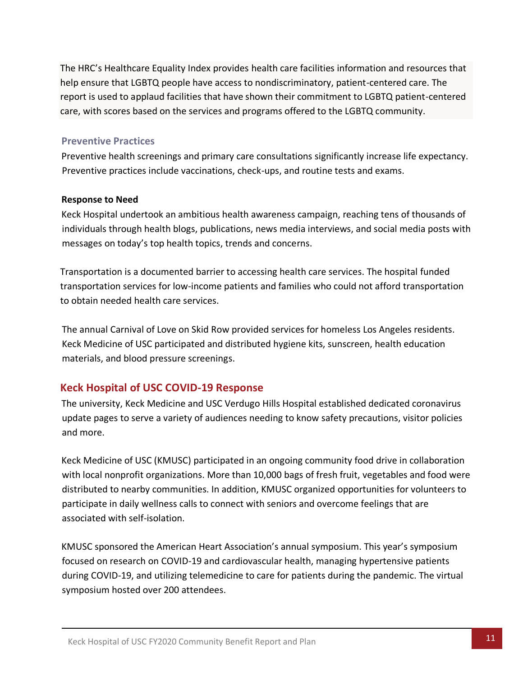The HRC's Healthcare Equality Index provides health care facilities information and resources that help ensure that LGBTQ people have access to nondiscriminatory, patient-centered care. The report is used to applaud facilities that have shown their commitment to LGBTQ patient-centered care, with scores based on the services and programs offered to the LGBTQ community.

#### **Preventive Practices**

Preventive health screenings and primary care consultations significantly increase life expectancy. Preventive practices include vaccinations, check-ups, and routine tests and exams.

#### **Response to Need**

Keck Hospital undertook an ambitious health awareness campaign, reaching tens of thousands of individuals through health blogs, publications, news media interviews, and social media posts with messages on today's top health topics, trends and concerns.

Transportation is a documented barrier to accessing health care services. The hospital funded transportation services for low-income patients and families who could not afford transportation to obtain needed health care services.

The annual Carnival of Love on Skid Row provided services for homeless Los Angeles residents. Keck Medicine of USC participated and distributed hygiene kits, sunscreen, health education materials, and blood pressure screenings.

## **Keck Hospital of USC COVID-19 Response**

The university, Keck Medicine and USC Verdugo Hills Hospital established dedicated coronavirus update pages to serve a variety of audiences needing to know safety precautions, visitor policies and more.

Keck Medicine of USC (KMUSC) participated in an ongoing community food drive in collaboration with local nonprofit organizations. More than 10,000 bags of fresh fruit, vegetables and food were distributed to nearby communities. In addition, KMUSC organized opportunities for volunteers to participate in daily wellness calls to connect with seniors and overcome feelings that are associated with self-isolation.

KMUSC sponsored the American Heart Association's annual symposium. This year's symposium focused on research on COVID-19 and cardiovascular health, managing hypertensive patients during COVID-19, and utilizing telemedicine to care for patients during the pandemic. The virtual symposium hosted over 200 attendees.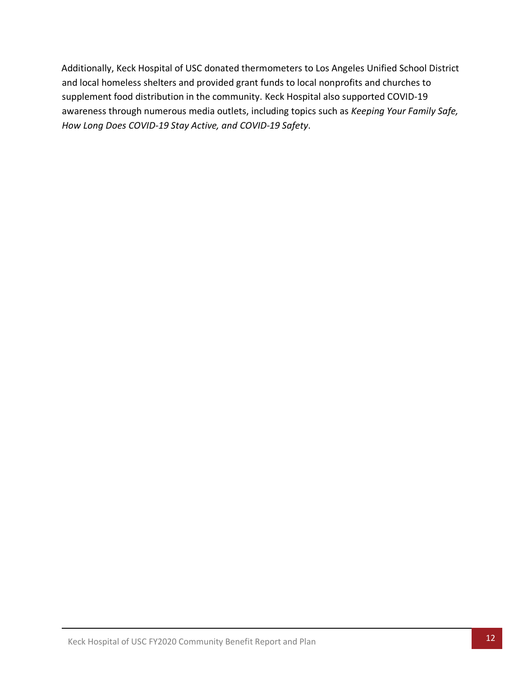Additionally, Keck Hospital of USC donated thermometers to Los Angeles Unified School District and local homeless shelters and provided grant funds to local nonprofits and churches to supplement food distribution in the community. Keck Hospital also supported COVID-19 awareness through numerous media outlets, including topics such as *Keeping Your Family Safe, How Long Does COVID-19 Stay Active, and COVID-19 Safety*.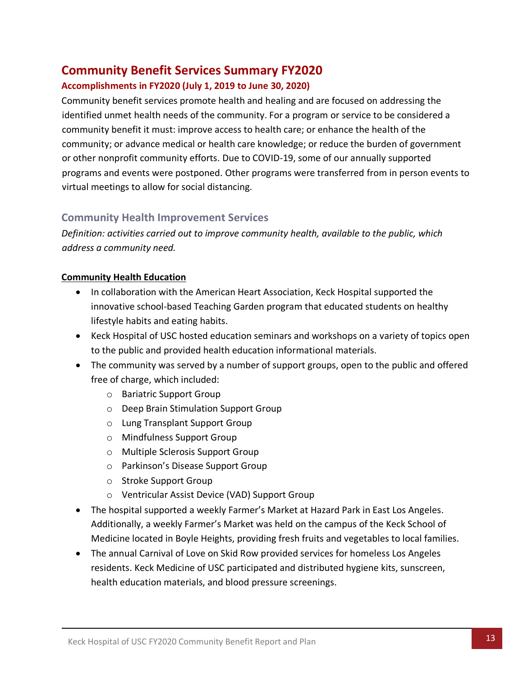# <span id="page-13-0"></span>**Community Benefit Services Summary FY2020**

#### **Accomplishments in FY2020 (July 1, 2019 to June 30, 2020)**

Community benefit services promote health and healing and are focused on addressing the identified unmet health needs of the community. For a program or service to be considered a community benefit it must: improve access to health care; or enhance the health of the community; or advance medical or health care knowledge; or reduce the burden of government or other nonprofit community efforts. Due to COVID-19, some of our annually supported programs and events were postponed. Other programs were transferred from in person events to virtual meetings to allow for social distancing.

## **Community Health Improvement Services**

*Definition: activities carried out to improve community health, available to the public, which address a community need.* 

#### **Community Health Education**

- In collaboration with the American Heart Association, Keck Hospital supported the innovative school-based Teaching Garden program that educated students on healthy lifestyle habits and eating habits.
- Keck Hospital of USC hosted education seminars and workshops on a variety of topics open to the public and provided health education informational materials.
- The community was served by a number of support groups, open to the public and offered free of charge, which included:
	- o Bariatric Support Group
	- o Deep Brain Stimulation Support Group
	- o Lung Transplant Support Group
	- o Mindfulness Support Group
	- o Multiple Sclerosis Support Group
	- o Parkinson's Disease Support Group
	- o Stroke Support Group
	- o Ventricular Assist Device (VAD) Support Group
- The hospital supported a weekly Farmer's Market at Hazard Park in East Los Angeles. Additionally, a weekly Farmer's Market was held on the campus of the Keck School of Medicine located in Boyle Heights, providing fresh fruits and vegetables to local families.
- The annual Carnival of Love on Skid Row provided services for homeless Los Angeles residents. Keck Medicine of USC participated and distributed hygiene kits, sunscreen, health education materials, and blood pressure screenings.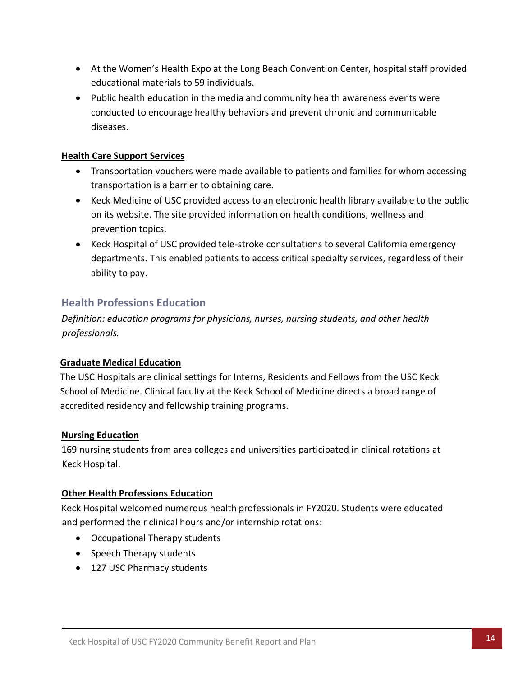- At the Women's Health Expo at the Long Beach Convention Center, hospital staff provided educational materials to 59 individuals.
- Public health education in the media and community health awareness events were conducted to encourage healthy behaviors and prevent chronic and communicable diseases.

#### **Health Care Support Services**

- Transportation vouchers were made available to patients and families for whom accessing transportation is a barrier to obtaining care.
- Keck Medicine of USC provided access to an electronic health library available to the public on its website. The site provided information on health conditions, wellness and prevention topics.
- Keck Hospital of USC provided tele-stroke consultations to several California emergency departments. This enabled patients to access critical specialty services, regardless of their ability to pay.

## **Health Professions Education**

*Definition: education programs for physicians, nurses, nursing students, and other health professionals.*

#### **Graduate Medical Education**

The USC Hospitals are clinical settings for Interns, Residents and Fellows from the USC Keck School of Medicine. Clinical faculty at the Keck School of Medicine directs a broad range of accredited residency and fellowship training programs.

#### **Nursing Education**

169 nursing students from area colleges and universities participated in clinical rotations at Keck Hospital.

#### **Other Health Professions Education**

Keck Hospital welcomed numerous health professionals in FY2020. Students were educated and performed their clinical hours and/or internship rotations:

- Occupational Therapy students
- Speech Therapy students
- 127 USC Pharmacy students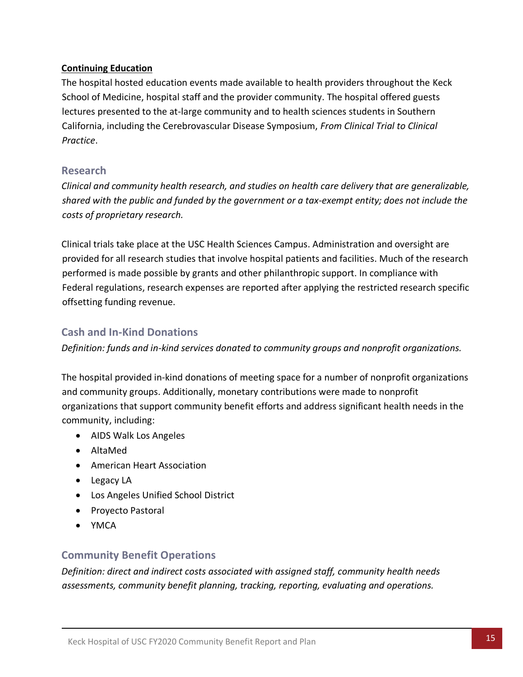#### **Continuing Education**

The hospital hosted education events made available to health providers throughout the Keck School of Medicine, hospital staff and the provider community. The hospital offered guests lectures presented to the at-large community and to health sciences students in Southern California, including the Cerebrovascular Disease Symposium, *From Clinical Trial to Clinical Practice*.

#### **Research**

*Clinical and community health research, and studies on health care delivery that are generalizable, shared with the public and funded by the government or a tax-exempt entity; does not include the costs of proprietary research.*

Clinical trials take place at the USC Health Sciences Campus. Administration and oversight are provided for all research studies that involve hospital patients and facilities. Much of the research performed is made possible by grants and other philanthropic support. In compliance with Federal regulations, research expenses are reported after applying the restricted research specific offsetting funding revenue.

## **Cash and In-Kind Donations**

*Definition: funds and in-kind services donated to community groups and nonprofit organizations.*

The hospital provided in-kind donations of meeting space for a number of nonprofit organizations and community groups. Additionally, monetary contributions were made to nonprofit organizations that support community benefit efforts and address significant health needs in the community, including:

- AIDS Walk Los Angeles
- AltaMed
- American Heart Association
- Legacy LA
- Los Angeles Unified School District
- Proyecto Pastoral
- YMCA

#### **Community Benefit Operations**

*Definition: direct and indirect costs associated with assigned staff, community health needs assessments, community benefit planning, tracking, reporting, evaluating and operations.*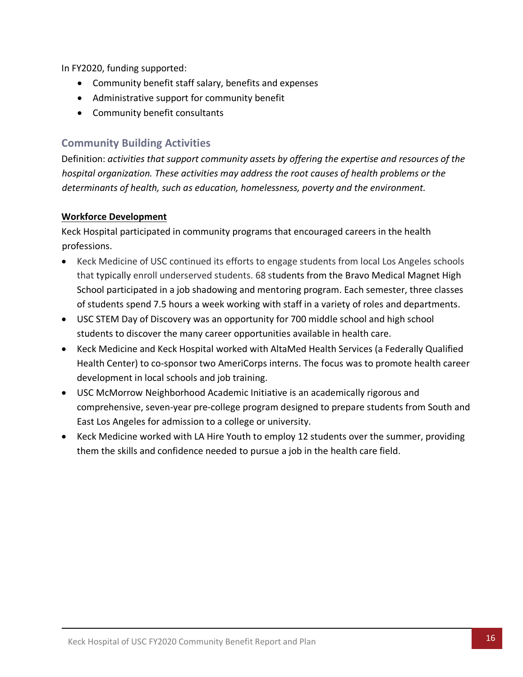In FY2020, funding supported:

- Community benefit staff salary, benefits and expenses
- Administrative support for community benefit
- Community benefit consultants

## **Community Building Activities**

Definition: *activities that support community assets by offering the expertise and resources of the hospital organization. These activities may address the root causes of health problems or the determinants of health, such as education, homelessness, poverty and the environment.*

#### **Workforce Development**

Keck Hospital participated in community programs that encouraged careers in the health professions.

- Keck Medicine of USC continued its efforts to engage students from local Los Angeles schools that typically enroll underserved students. 68 students from the Bravo Medical Magnet High School participated in a job shadowing and mentoring program. Each semester, three classes of students spend 7.5 hours a week working with staff in a variety of roles and departments.
- USC STEM Day of Discovery was an opportunity for 700 middle school and high school students to discover the many career opportunities available in health care.
- Keck Medicine and Keck Hospital worked with AltaMed Health Services (a Federally Qualified Health Center) to co-sponsor two AmeriCorps interns. The focus was to promote health career development in local schools and job training.
- USC McMorrow Neighborhood Academic Initiative is an academically rigorous and comprehensive, seven-year pre-college program designed to prepare students from South and East Los Angeles for admission to a college or university.
- Keck Medicine worked with LA Hire Youth to employ 12 students over the summer, providing them the skills and confidence needed to pursue a job in the health care field.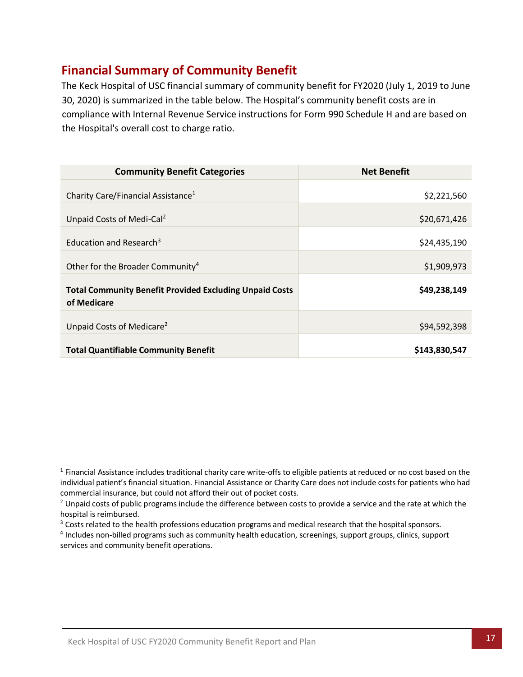# <span id="page-17-0"></span>**Financial Summary of Community Benefit**

The Keck Hospital of USC financial summary of community benefit for FY2020 (July 1, 2019 to June 30, 2020) is summarized in the table below. The Hospital's community benefit costs are in compliance with Internal Revenue Service instructions for Form 990 Schedule H and are based on the Hospital's overall cost to charge ratio.

| <b>Community Benefit Categories</b>                                           | <b>Net Benefit</b> |
|-------------------------------------------------------------------------------|--------------------|
| Charity Care/Financial Assistance <sup>1</sup>                                | \$2,221,560        |
| Unpaid Costs of Medi-Cal <sup>2</sup>                                         | \$20,671,426       |
| Education and Research <sup>3</sup>                                           | \$24,435,190       |
| Other for the Broader Community <sup>4</sup>                                  | \$1,909,973        |
| <b>Total Community Benefit Provided Excluding Unpaid Costs</b><br>of Medicare | \$49,238,149       |
| Unpaid Costs of Medicare <sup>2</sup>                                         | \$94,592,398       |
| <b>Total Quantifiable Community Benefit</b>                                   | \$143,830,547      |

<sup>&</sup>lt;sup>1</sup> Financial Assistance includes traditional charity care write-offs to eligible patients at reduced or no cost based on the individual patient's financial situation. Financial Assistance or Charity Care does not include costs for patients who had commercial insurance, but could not afford their out of pocket costs.

<sup>&</sup>lt;sup>2</sup> Unpaid costs of public programs include the difference between costs to provide a service and the rate at which the hospital is reimbursed.

<sup>&</sup>lt;sup>3</sup> Costs related to the health professions education programs and medical research that the hospital sponsors.

<sup>4</sup> Includes non-billed programs such as community health education, screenings, support groups, clinics, support services and community benefit operations.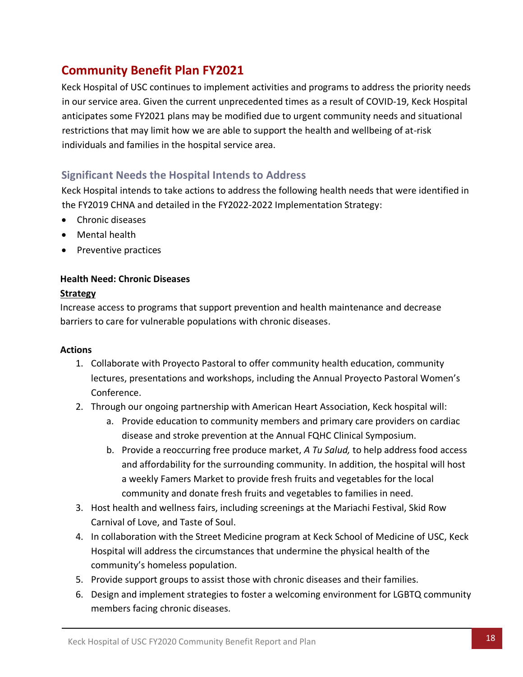# <span id="page-18-0"></span>**Community Benefit Plan FY2021**

Keck Hospital of USC continues to implement activities and programs to address the priority needs in our service area. Given the current unprecedented times as a result of COVID-19, Keck Hospital anticipates some FY2021 plans may be modified due to urgent community needs and situational restrictions that may limit how we are able to support the health and wellbeing of at-risk individuals and families in the hospital service area.

## <span id="page-18-1"></span>**Significant Needs the Hospital Intends to Address**

Keck Hospital intends to take actions to address the following health needs that were identified in the FY2019 CHNA and detailed in the FY2022-2022 Implementation Strategy:

- Chronic diseases
- Mental health
- Preventive practices

#### **Health Need: Chronic Diseases**

#### **Strategy**

Increase access to programs that support prevention and health maintenance and decrease barriers to care for vulnerable populations with chronic diseases.

#### **Actions**

- 1. Collaborate with Proyecto Pastoral to offer community health education, community lectures, presentations and workshops, including the Annual Proyecto Pastoral Women's Conference.
- 2. Through our ongoing partnership with American Heart Association, Keck hospital will:
	- a. Provide education to community members and primary care providers on cardiac disease and stroke prevention at the Annual FQHC Clinical Symposium.
	- b. Provide a reoccurring free produce market, *A Tu Salud,* to help address food access and affordability for the surrounding community. In addition, the hospital will host a weekly Famers Market to provide fresh fruits and vegetables for the local community and donate fresh fruits and vegetables to families in need.
- 3. Host health and wellness fairs, including screenings at the Mariachi Festival, Skid Row Carnival of Love, and Taste of Soul.
- 4. In collaboration with the Street Medicine program at Keck School of Medicine of USC, Keck Hospital will address the circumstances that undermine the physical health of the community's homeless population.
- 5. Provide support groups to assist those with chronic diseases and their families.
- 6. Design and implement strategies to foster a welcoming environment for LGBTQ community members facing chronic diseases.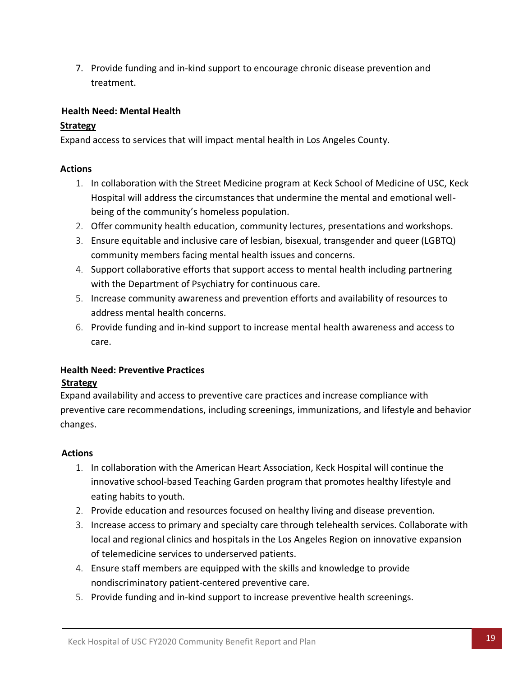7. Provide funding and in-kind support to encourage chronic disease prevention and treatment.

#### **Health Need: Mental Health**

#### **Strategy**

Expand access to services that will impact mental health in Los Angeles County.

#### **Actions**

- 1. In collaboration with the Street Medicine program at Keck School of Medicine of USC, Keck Hospital will address the circumstances that undermine the mental and emotional wellbeing of the community's homeless population.
- 2. Offer community health education, community lectures, presentations and workshops.
- 3. Ensure equitable and inclusive care of lesbian, bisexual, transgender and queer (LGBTQ) community members facing mental health issues and concerns.
- 4. Support collaborative efforts that support access to mental health including partnering with the Department of Psychiatry for continuous care.
- 5. Increase community awareness and prevention efforts and availability of resources to address mental health concerns.
- 6. Provide funding and in-kind support to increase mental health awareness and access to care.

#### **Health Need: Preventive Practices Strategy**

Expand availability and access to preventive care practices and increase compliance with preventive care recommendations, including screenings, immunizations, and lifestyle and behavior changes.

#### **Actions**

- 1. In collaboration with the American Heart Association, Keck Hospital will continue the innovative school-based Teaching Garden program that promotes healthy lifestyle and eating habits to youth.
- 2. Provide education and resources focused on healthy living and disease prevention.
- 3. Increase access to primary and specialty care through telehealth services. Collaborate with local and regional clinics and hospitals in the Los Angeles Region on innovative expansion of telemedicine services to underserved patients.
- 4. Ensure staff members are equipped with the skills and knowledge to provide nondiscriminatory patient-centered preventive care.
- 5. Provide funding and in-kind support to increase preventive health screenings.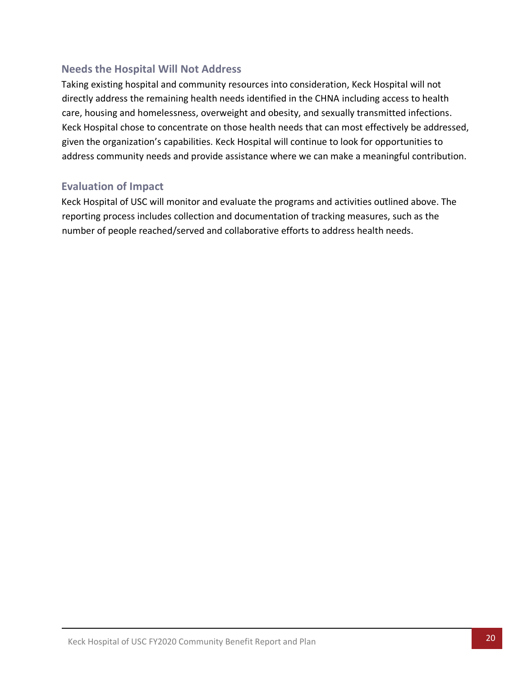## <span id="page-20-0"></span>**Needs the Hospital Will Not Address**

Taking existing hospital and community resources into consideration, Keck Hospital will not directly address the remaining health needs identified in the CHNA including access to health care, housing and homelessness, overweight and obesity, and sexually transmitted infections. Keck Hospital chose to concentrate on those health needs that can most effectively be addressed, given the organization's capabilities. Keck Hospital will continue to look for opportunities to address community needs and provide assistance where we can make a meaningful contribution.

## <span id="page-20-1"></span>**Evaluation of Impact**

Keck Hospital of USC will monitor and evaluate the programs and activities outlined above. The reporting process includes collection and documentation of tracking measures, such as the number of people reached/served and collaborative efforts to address health needs.